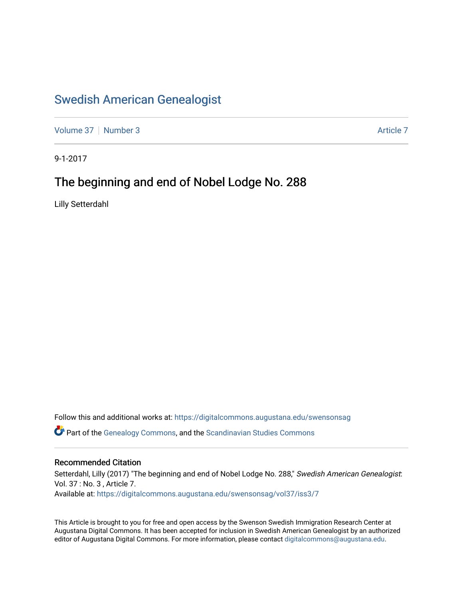## [Swedish American Genealogist](https://digitalcommons.augustana.edu/swensonsag)

[Volume 37](https://digitalcommons.augustana.edu/swensonsag/vol37) | [Number 3](https://digitalcommons.augustana.edu/swensonsag/vol37/iss3) [Article 7](https://digitalcommons.augustana.edu/swensonsag/vol37/iss3/7) Article 7 Article 7 Article 7 Article 7 Article 7 Article 7 Article 7 Article 7

9-1-2017

# The beginning and end of Nobel Lodge No. 288

Lilly Setterdahl

Follow this and additional works at: [https://digitalcommons.augustana.edu/swensonsag](https://digitalcommons.augustana.edu/swensonsag?utm_source=digitalcommons.augustana.edu%2Fswensonsag%2Fvol37%2Fiss3%2F7&utm_medium=PDF&utm_campaign=PDFCoverPages) 

Part of the [Genealogy Commons,](http://network.bepress.com/hgg/discipline/1342?utm_source=digitalcommons.augustana.edu%2Fswensonsag%2Fvol37%2Fiss3%2F7&utm_medium=PDF&utm_campaign=PDFCoverPages) and the [Scandinavian Studies Commons](http://network.bepress.com/hgg/discipline/485?utm_source=digitalcommons.augustana.edu%2Fswensonsag%2Fvol37%2Fiss3%2F7&utm_medium=PDF&utm_campaign=PDFCoverPages)

#### Recommended Citation

Setterdahl, Lilly (2017) "The beginning and end of Nobel Lodge No. 288," Swedish American Genealogist: Vol. 37 : No. 3 , Article 7. Available at: [https://digitalcommons.augustana.edu/swensonsag/vol37/iss3/7](https://digitalcommons.augustana.edu/swensonsag/vol37/iss3/7?utm_source=digitalcommons.augustana.edu%2Fswensonsag%2Fvol37%2Fiss3%2F7&utm_medium=PDF&utm_campaign=PDFCoverPages) 

This Article is brought to you for free and open access by the Swenson Swedish Immigration Research Center at Augustana Digital Commons. It has been accepted for inclusion in Swedish American Genealogist by an authorized editor of Augustana Digital Commons. For more information, please contact [digitalcommons@augustana.edu.](mailto:digitalcommons@augustana.edu)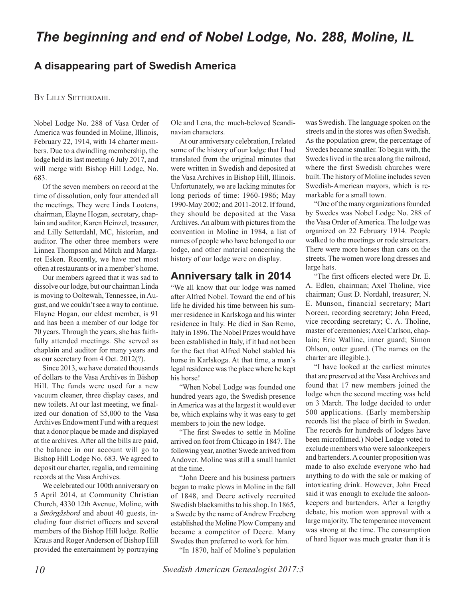## **A disappearing part of Swedish America**

BY LILLY SETTERDAHL

Nobel Lodge No. 288 of Vasa Order of America was founded in Moline, Illinois, February 22, 1914, with 14 charter members. Due to a dwindling membership, the lodge held its last meeting 6 July 2017, and will merge with Bishop Hill Lodge, No. 683.

Of the seven members on record at the time of dissolution, only four attended all the meetings. They were Linda Lootens, chairman, Elayne Hogan, secretary, chaplain and auditor, Karen Heinzel, treasurer, and Lilly Setterdahl, MC, historian, and auditor. The other three members were Linnea Thompson and Mitch and Margaret Esken. Recently, we have met most often at restaurants or in a member's home.

Our members agreed that it was sad to dissolve our lodge, but our chairman Linda is moving to Ooltewah, Tennessee, in August, and we couldn't see a way to continue. Elayne Hogan, our eldest member, is 91 and has been a member of our lodge for 70 years. Through the years, she has faithfully attended meetings. She served as chaplain and auditor for many years and as our secretary from 4 Oct. 2012(?).

Since 2013, we have donated thousands of dollars to the Vasa Archives in Bishop Hill. The funds were used for a new vacuum cleaner, three display cases, and new toilets. At our last meeting, we finalized our donation of \$5,000 to the Vasa Archives Endowment Fund with a request that a donor plaque be made and displayed at the archives. After all the bills are paid, the balance in our account will go to Bishop Hill Lodge No. 683. We agreed to deposit our charter, regalia, and remaining records at the Vasa Archives.

We celebrated our 100th anniversary on 5 April 2014, at Community Christian Church, 4330 12th Avenue, Moline, with a *Smörgåsbord* and about 40 guests, including four district officers and several members of the Bishop Hill lodge. Rollie Kraus and Roger Anderson of Bishop Hill provided the entertainment by portraying Ole and Lena, the much-beloved Scandinavian characters.

At our anniversary celebration, I related some of the history of our lodge that I had translated from the original minutes that were written in Swedish and deposited at the Vasa Archives in Bishop Hill, Illinois. Unfortunately, we are lacking minutes for long periods of time: 1960-1986; May 1990-May 2002; and 2011-2012. If found, they should be deposited at the Vasa Archives. An album with pictures from the convention in Moline in 1984, a list of names of people who have belonged to our lodge, and other material concerning the history of our lodge were on display.

### **Anniversary talk in 2014**

"We all know that our lodge was named after Alfred Nobel. Toward the end of his life he divided his time between his summer residence in Karlskoga and his winter residence in Italy. He died in San Remo, Italy in 1896. The Nobel Prizes would have been established in Italy, if it had not been for the fact that Alfred Nobel stabled his horse in Karlskoga. At that time, a man's legal residence was the place where he kept his horse!

"When Nobel Lodge was founded one hundred years ago, the Swedish presence in America was at the largest it would ever be, which explains why it was easy to get members to join the new lodge.

"The first Swedes to settle in Moline arrived on foot from Chicago in 1847. The following year, another Swede arrived from Andover. Moline was still a small hamlet at the time.

"John Deere and his business partners began to make plows in Moline in the fall of 1848, and Deere actively recruited Swedish blacksmiths to his shop. In 1865, a Swede by the name of Andrew Freeberg established the Moline Plow Company and became a competitor of Deere. Many Swedes then preferred to work for him.

"In 1870, half of Moline's population

was Swedish. The language spoken on the streets and in the stores was often Swedish. As the population grew, the percentage of Swedes became smaller. To begin with, the Swedes lived in the area along the railroad, where the first Swedish churches were built. The history of Moline includes seven Swedish-American mayors, which is remarkable for a small town.

"One of the many organizations founded by Swedes was Nobel Lodge No. 288 of the Vasa Order of America. The lodge was organized on 22 February 1914. People walked to the meetings or rode streetcars. There were more horses than cars on the streets. The women wore long dresses and large hats.

"The first officers elected were Dr. E. A. Edlen, chairman; Axel Tholine, vice chairman; Gust D. Nordahl, treasurer; N. E. Munson, financial secretary; Mart Noreen, recording secretary; John Freed, vice recording secretary; C. A. Tholine, master of ceremonies; Axel Carlson, chaplain; Eric Walline, inner guard; Simon Ohlson, outer guard. (The names on the charter are illegible.).

"I have looked at the earliest minutes that are preserved at the Vasa Archives and found that 17 new members joined the lodge when the second meeting was held on 3 March. The lodge decided to order 500 applications. (Early membership records list the place of birth in Sweden. The records for hundreds of lodges have been microfilmed.) Nobel Lodge voted to exclude members who were saloonkeepers and bartenders. A counter proposition was made to also exclude everyone who had anything to do with the sale or making of intoxicating drink. However, John Freed said it was enough to exclude the saloonkeepers and bartenders. After a lengthy debate, his motion won approval with a large majority. The temperance movement was strong at the time. The consumption of hard liquor was much greater than it is